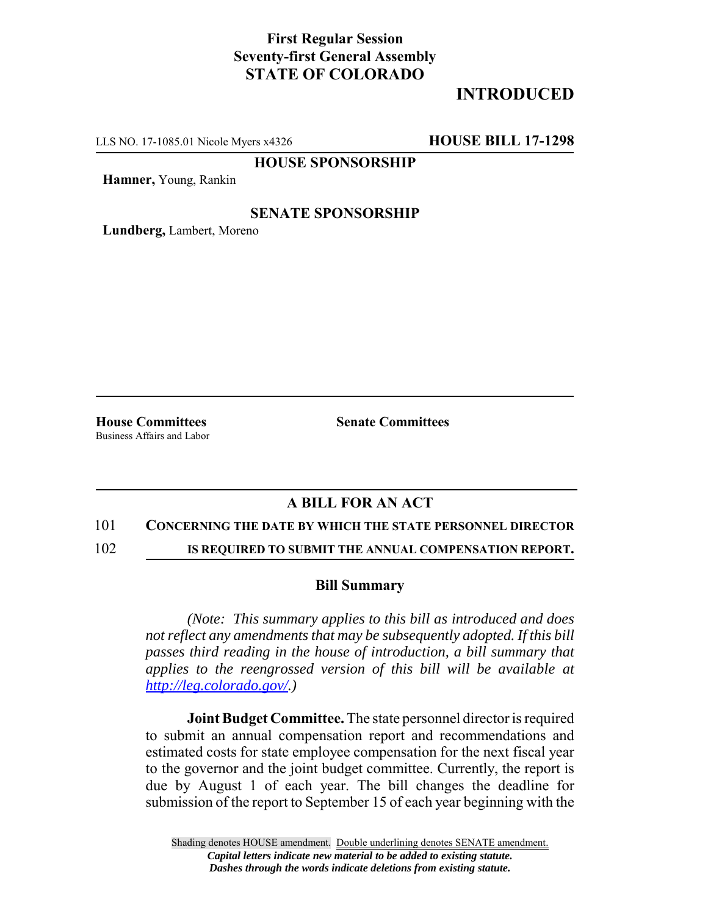# **First Regular Session Seventy-first General Assembly STATE OF COLORADO**

# **INTRODUCED**

LLS NO. 17-1085.01 Nicole Myers x4326 **HOUSE BILL 17-1298**

**HOUSE SPONSORSHIP**

**Hamner,** Young, Rankin

### **SENATE SPONSORSHIP**

**Lundberg,** Lambert, Moreno

Business Affairs and Labor

**House Committees Senate Committees** 

## **A BILL FOR AN ACT**

#### 101 **CONCERNING THE DATE BY WHICH THE STATE PERSONNEL DIRECTOR**

102 **IS REQUIRED TO SUBMIT THE ANNUAL COMPENSATION REPORT.**

### **Bill Summary**

*(Note: This summary applies to this bill as introduced and does not reflect any amendments that may be subsequently adopted. If this bill passes third reading in the house of introduction, a bill summary that applies to the reengrossed version of this bill will be available at http://leg.colorado.gov/.)*

**Joint Budget Committee.** The state personnel director is required to submit an annual compensation report and recommendations and estimated costs for state employee compensation for the next fiscal year to the governor and the joint budget committee. Currently, the report is due by August 1 of each year. The bill changes the deadline for submission of the report to September 15 of each year beginning with the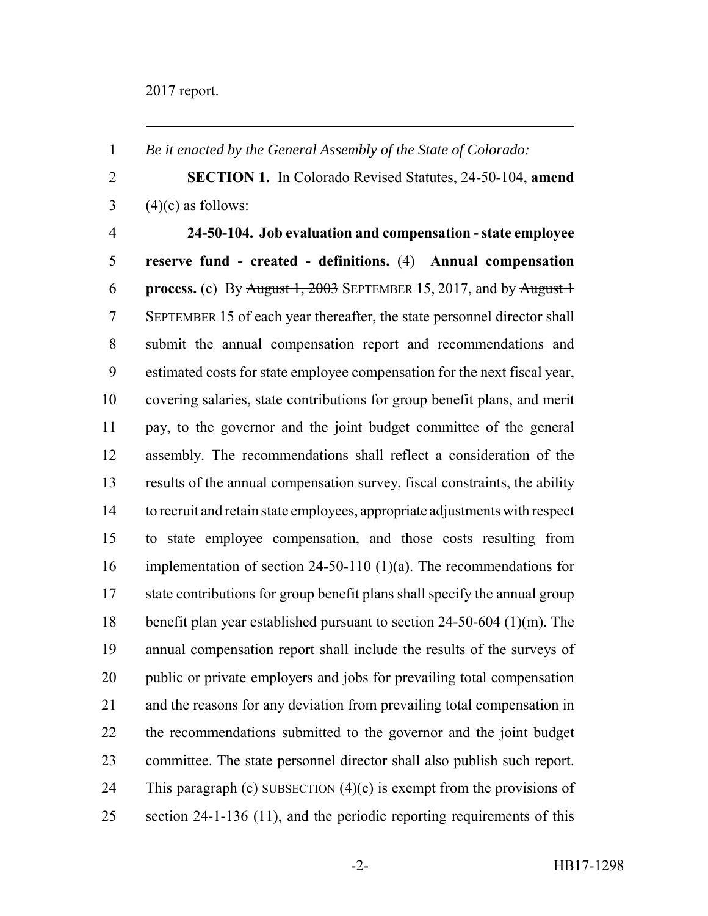*Be it enacted by the General Assembly of the State of Colorado:*

 **SECTION 1.** In Colorado Revised Statutes, 24-50-104, **amend**  $3 \qquad (4)(c)$  as follows:

 **24-50-104. Job evaluation and compensation - state employee reserve fund - created - definitions.** (4) **Annual compensation process.** (c) By August 1, 2003 SEPTEMBER 15, 2017, and by August 1 SEPTEMBER 15 of each year thereafter, the state personnel director shall submit the annual compensation report and recommendations and estimated costs for state employee compensation for the next fiscal year, covering salaries, state contributions for group benefit plans, and merit pay, to the governor and the joint budget committee of the general assembly. The recommendations shall reflect a consideration of the results of the annual compensation survey, fiscal constraints, the ability to recruit and retain state employees, appropriate adjustments with respect to state employee compensation, and those costs resulting from implementation of section 24-50-110 (1)(a). The recommendations for state contributions for group benefit plans shall specify the annual group benefit plan year established pursuant to section 24-50-604 (1)(m). The annual compensation report shall include the results of the surveys of public or private employers and jobs for prevailing total compensation and the reasons for any deviation from prevailing total compensation in the recommendations submitted to the governor and the joint budget committee. The state personnel director shall also publish such report. 24 This paragraph (c) SUBSECTION  $(4)(c)$  is exempt from the provisions of 25 section 24-1-136 (11), and the periodic reporting requirements of this